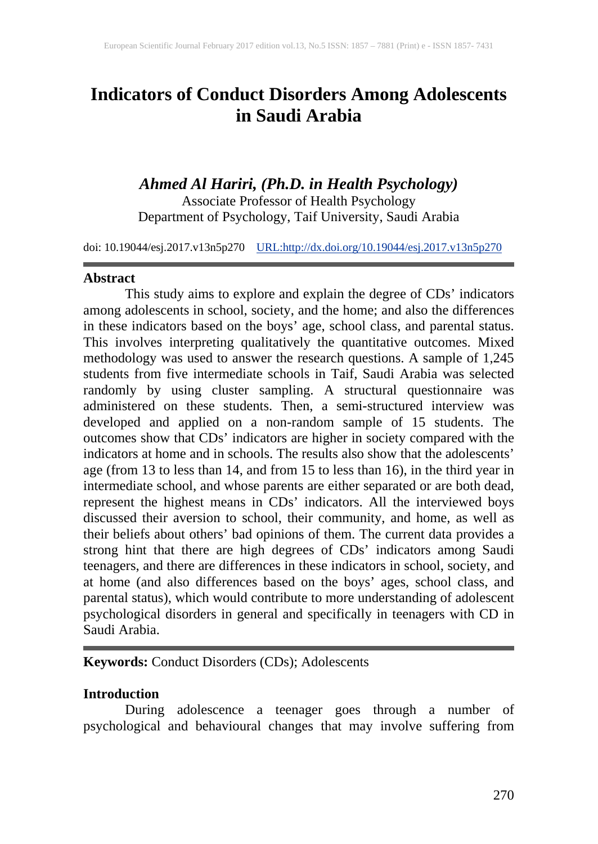# **Indicators of Conduct Disorders Among Adolescents in Saudi Arabia**

*Ahmed Al Hariri, (Ph.D. in Health Psychology)* Associate Professor of Health Psychology

Department of Psychology, Taif University, Saudi Arabia

doi: 10.19044/esj.2017.v13n5p270 [URL:http://dx.doi.org/10.19044/esj.2017.v13n5p270](http://dx.doi.org/10.19044/esj.2017.v13n5p270)

### **Abstract**

This study aims to explore and explain the degree of CDs' indicators among adolescents in school, society, and the home; and also the differences in these indicators based on the boys' age, school class, and parental status. This involves interpreting qualitatively the quantitative outcomes. Mixed methodology was used to answer the research questions. A sample of 1,245 students from five intermediate schools in Taif, Saudi Arabia was selected randomly by using cluster sampling. A structural questionnaire was administered on these students. Then, a semi-structured interview was developed and applied on a non-random sample of 15 students. The outcomes show that CDs' indicators are higher in society compared with the indicators at home and in schools. The results also show that the adolescents' age (from 13 to less than 14, and from 15 to less than 16), in the third year in intermediate school, and whose parents are either separated or are both dead, represent the highest means in CDs' indicators. All the interviewed boys discussed their aversion to school, their community, and home, as well as their beliefs about others' bad opinions of them. The current data provides a strong hint that there are high degrees of CDs' indicators among Saudi teenagers, and there are differences in these indicators in school, society, and at home (and also differences based on the boys' ages, school class, and parental status), which would contribute to more understanding of adolescent psychological disorders in general and specifically in teenagers with CD in Saudi Arabia.

## **Keywords:** Conduct Disorders (CDs); Adolescents

## **Introduction**

During adolescence a teenager goes through a number of psychological and behavioural changes that may involve suffering from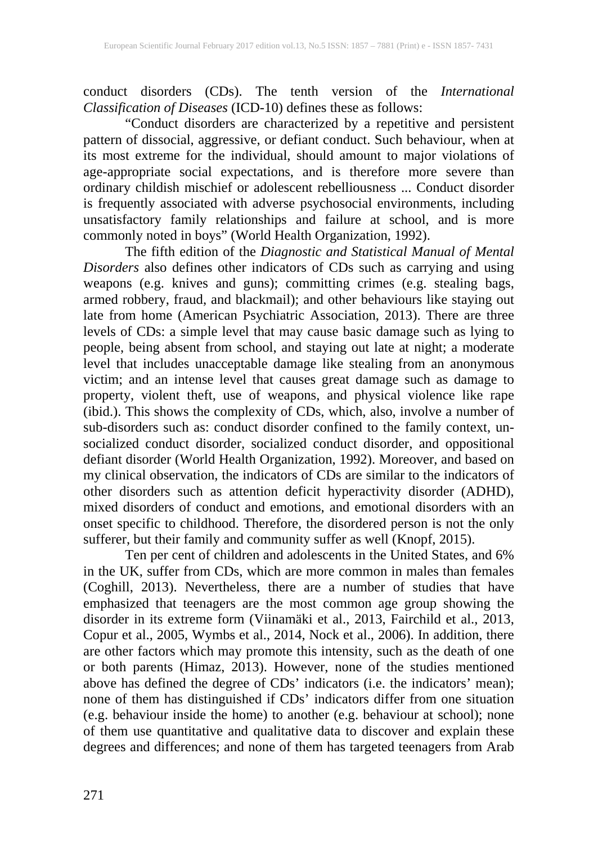conduct disorders (CDs). The tenth version of the *International Classification of Diseases* (ICD-10) defines these as follows:

"Conduct disorders are characterized by a repetitive and persistent pattern of dissocial, aggressive, or defiant conduct. Such behaviour, when at its most extreme for the individual, should amount to major violations of age-appropriate social expectations, and is therefore more severe than ordinary childish mischief or adolescent rebelliousness ... Conduct disorder is frequently associated with adverse psychosocial environments, including unsatisfactory family relationships and failure at school, and is more commonly noted in boys" (World Health Organization, 1992).

The fifth edition of the *Diagnostic and Statistical Manual of Mental Disorders* also defines other indicators of CDs such as carrying and using weapons (e.g. knives and guns); committing crimes (e.g. stealing bags, armed robbery, fraud, and blackmail); and other behaviours like staying out late from home (American Psychiatric Association, 2013). There are three levels of CDs: a simple level that may cause basic damage such as lying to people, being absent from school, and staying out late at night; a moderate level that includes unacceptable damage like stealing from an anonymous victim; and an intense level that causes great damage such as damage to property, violent theft, use of weapons, and physical violence like rape (ibid.). This shows the complexity of CDs, which, also, involve a number of sub-disorders such as: conduct disorder confined to the family context, unsocialized conduct disorder, socialized conduct disorder, and oppositional defiant disorder (World Health Organization, 1992). Moreover, and based on my clinical observation, the indicators of CDs are similar to the indicators of other disorders such as attention deficit hyperactivity disorder (ADHD), mixed disorders of conduct and emotions, and emotional disorders with an onset specific to childhood. Therefore, the disordered person is not the only sufferer, but their family and community suffer as well (Knopf, 2015).

Ten per cent of children and adolescents in the United States, and 6% in the UK, suffer from CDs, which are more common in males than females (Coghill, 2013). Nevertheless, there are a number of studies that have emphasized that teenagers are the most common age group showing the disorder in its extreme form (Viinamäki et al., 2013, Fairchild et al., 2013, Copur et al., 2005, Wymbs et al., 2014, Nock et al., 2006). In addition, there are other factors which may promote this intensity, such as the death of one or both parents (Himaz, 2013). However, none of the studies mentioned above has defined the degree of CDs' indicators (i.e. the indicators' mean); none of them has distinguished if CDs' indicators differ from one situation (e.g. behaviour inside the home) to another (e.g. behaviour at school); none of them use quantitative and qualitative data to discover and explain these degrees and differences; and none of them has targeted teenagers from Arab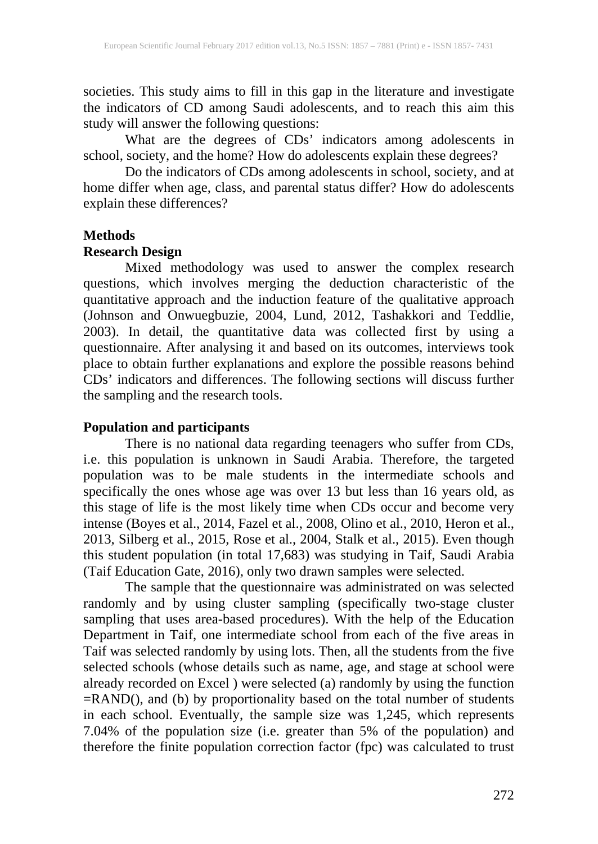societies. This study aims to fill in this gap in the literature and investigate the indicators of CD among Saudi adolescents, and to reach this aim this study will answer the following questions:

What are the degrees of CDs' indicators among adolescents in school, society, and the home? How do adolescents explain these degrees?

Do the indicators of CDs among adolescents in school, society, and at home differ when age, class, and parental status differ? How do adolescents explain these differences?

#### **Methods**

# **Research Design**

Mixed methodology was used to answer the complex research questions, which involves merging the deduction characteristic of the quantitative approach and the induction feature of the qualitative approach (Johnson and Onwuegbuzie, 2004, Lund, 2012, Tashakkori and Teddlie, 2003). In detail, the quantitative data was collected first by using a questionnaire. After analysing it and based on its outcomes, interviews took place to obtain further explanations and explore the possible reasons behind CDs' indicators and differences. The following sections will discuss further the sampling and the research tools.

## **Population and participants**

There is no national data regarding teenagers who suffer from CDs, i.e. this population is unknown in Saudi Arabia. Therefore, the targeted population was to be male students in the intermediate schools and specifically the ones whose age was over 13 but less than 16 years old, as this stage of life is the most likely time when CDs occur and become very intense (Boyes et al., 2014, Fazel et al., 2008, Olino et al., 2010, Heron et al., 2013, Silberg et al., 2015, Rose et al., 2004, Stalk et al., 2015). Even though this student population (in total 17,683) was studying in Taif, Saudi Arabia (Taif Education Gate, 2016), only two drawn samples were selected.

The sample that the questionnaire was administrated on was selected randomly and by using cluster sampling (specifically two-stage cluster sampling that uses area-based procedures). With the help of the Education Department in Taif, one intermediate school from each of the five areas in Taif was selected randomly by using lots. Then, all the students from the five selected schools (whose details such as name, age, and stage at school were already recorded on Excel ) were selected (a) randomly by using the function =RAND(), and (b) by proportionality based on the total number of students in each school. Eventually, the sample size was 1,245, which represents 7.04% of the population size (i.e. greater than 5% of the population) and therefore the finite population correction factor (fpc) was calculated to trust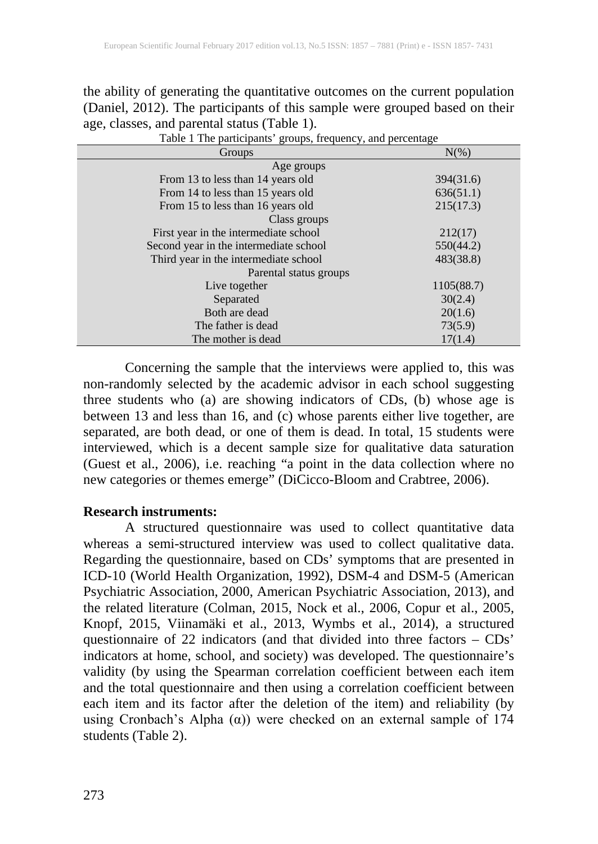the ability of generating the quantitative outcomes on the current population (Daniel, 2012). The participants of this sample were grouped based on their age, classes, and parental status (Table 1).

| Table 1 The participants' groups, frequency, and percentage |            |  |  |
|-------------------------------------------------------------|------------|--|--|
| Groups                                                      | $N(\%)$    |  |  |
| Age groups                                                  |            |  |  |
| From 13 to less than 14 years old                           | 394(31.6)  |  |  |
| From 14 to less than 15 years old                           | 636(51.1)  |  |  |
| From 15 to less than 16 years old                           | 215(17.3)  |  |  |
| Class groups                                                |            |  |  |
| First year in the intermediate school                       | 212(17)    |  |  |
| Second year in the intermediate school                      | 550(44.2)  |  |  |
| Third year in the intermediate school                       | 483(38.8)  |  |  |
| Parental status groups                                      |            |  |  |
| Live together                                               | 1105(88.7) |  |  |
| Separated                                                   | 30(2.4)    |  |  |
| Both are dead                                               | 20(1.6)    |  |  |
| The father is dead                                          | 73(5.9)    |  |  |
| The mother is dead                                          | 17(1.4)    |  |  |

Concerning the sample that the interviews were applied to, this was non-randomly selected by the academic advisor in each school suggesting three students who (a) are showing indicators of CDs, (b) whose age is between 13 and less than 16, and (c) whose parents either live together, are separated, are both dead, or one of them is dead. In total, 15 students were interviewed, which is a decent sample size for qualitative data saturation (Guest et al., 2006), i.e. reaching "a point in the data collection where no new categories or themes emerge" (DiCicco-Bloom and Crabtree, 2006).

#### **Research instruments:**

A structured questionnaire was used to collect quantitative data whereas a semi-structured interview was used to collect qualitative data. Regarding the questionnaire, based on CDs' symptoms that are presented in ICD-10 (World Health Organization, 1992), DSM-4 and DSM-5 (American Psychiatric Association, 2000, American Psychiatric Association, 2013), and the related literature (Colman, 2015, Nock et al., 2006, Copur et al., 2005, Knopf, 2015, Viinamäki et al., 2013, Wymbs et al., 2014), a structured questionnaire of 22 indicators (and that divided into three factors – CDs' indicators at home, school, and society) was developed. The questionnaire's validity (by using the Spearman correlation coefficient between each item and the total questionnaire and then using a correlation coefficient between each item and its factor after the deletion of the item) and reliability (by using Cronbach's Alpha  $(\alpha)$ ) were checked on an external sample of 174 students (Table 2).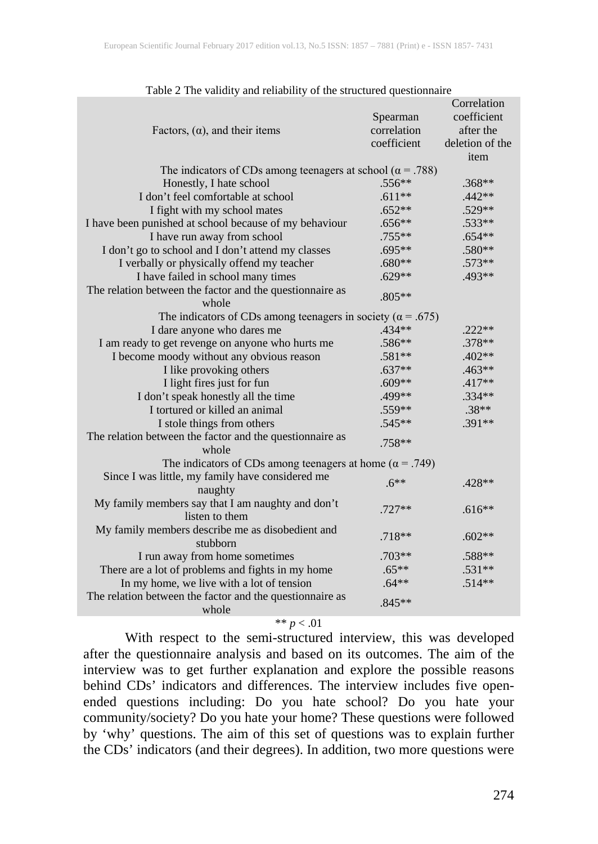|                                                                     |             | Correlation     |  |
|---------------------------------------------------------------------|-------------|-----------------|--|
|                                                                     | Spearman    | coefficient     |  |
| Factors, $(\alpha)$ , and their items                               | correlation | after the       |  |
|                                                                     | coefficient | deletion of the |  |
|                                                                     |             | item            |  |
| The indicators of CDs among teenagers at school ( $\alpha$ = .788)  |             |                 |  |
| Honestly, I hate school                                             | .556**      | .368**          |  |
| I don't feel comfortable at school                                  | $.611**$    | .442**          |  |
| I fight with my school mates                                        | $.652**$    | .529**          |  |
| I have been punished at school because of my behaviour              | $.656**$    | .533**          |  |
| I have run away from school                                         | .755**      | $.654**$        |  |
| I don't go to school and I don't attend my classes                  | .695**      | .580**          |  |
| I verbally or physically offend my teacher                          | .680**      | .573**          |  |
| I have failed in school many times                                  | $.629**$    | .493**          |  |
| The relation between the factor and the questionnaire as            |             |                 |  |
| whole                                                               | .805**      |                 |  |
| The indicators of CDs among teenagers in society ( $\alpha$ = .675) |             |                 |  |
| I dare anyone who dares me                                          | .434**      | $.222**$        |  |
| I am ready to get revenge on anyone who hurts me                    | .586**      | .378**          |  |
| I become moody without any obvious reason                           | $.581**$    | .402**          |  |
| I like provoking others                                             | $.637**$    | .463**          |  |
| I light fires just for fun                                          | $.609**$    | .417**          |  |
| I don't speak honestly all the time                                 | .499**      | .334**          |  |
| I tortured or killed an animal                                      | .559**      | $.38**$         |  |
| I stole things from others                                          | $.545**$    | $.391**$        |  |
| The relation between the factor and the questionnaire as            |             |                 |  |
| whole                                                               | .758**      |                 |  |
| The indicators of CDs among teenagers at home ( $\alpha$ = .749)    |             |                 |  |
| Since I was little, my family have considered me                    | $.6***$     | $.428**$        |  |
| naughty                                                             |             |                 |  |
| My family members say that I am naughty and don't                   | $.727**$    |                 |  |
| listen to them                                                      |             | $.616**$        |  |
| My family members describe me as disobedient and                    |             |                 |  |
| stubborn                                                            | $.718**$    | $.602**$        |  |
| I run away from home sometimes                                      | $.703**$    | .588**          |  |
| There are a lot of problems and fights in my home                   | $.65***$    | $.531**$        |  |
| In my home, we live with a lot of tension                           | $.64**$     | $.514**$        |  |
| The relation between the factor and the questionnaire as            | $.845**$    |                 |  |
| whole                                                               |             |                 |  |

\*\*  $p < .01$ 

With respect to the semi-structured interview, this was developed after the questionnaire analysis and based on its outcomes. The aim of the interview was to get further explanation and explore the possible reasons behind CDs' indicators and differences. The interview includes five openended questions including: Do you hate school? Do you hate your community/society? Do you hate your home? These questions were followed by 'why' questions. The aim of this set of questions was to explain further the CDs' indicators (and their degrees). In addition, two more questions were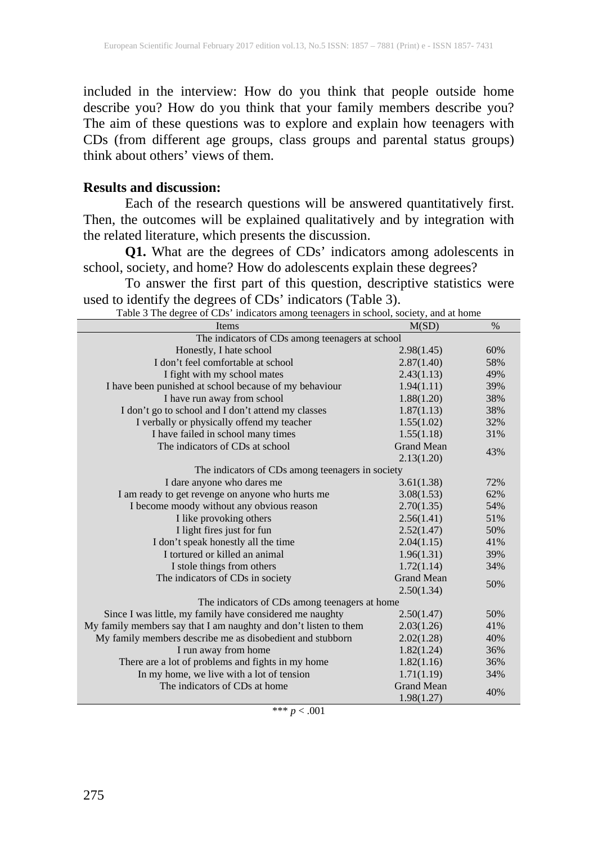included in the interview: How do you think that people outside home describe you? How do you think that your family members describe you? The aim of these questions was to explore and explain how teenagers with CDs (from different age groups, class groups and parental status groups) think about others' views of them.

#### **Results and discussion:**

Each of the research questions will be answered quantitatively first. Then, the outcomes will be explained qualitatively and by integration with the related literature, which presents the discussion.

**Q1.** What are the degrees of CDs' indicators among adolescents in school, society, and home? How do adolescents explain these degrees?

To answer the first part of this question, descriptive statistics were used to identify the degrees of CDs' indicators (Table 3).<br>Table 3 The degree of CDs' indicators among teenagers in school, society, and at home

| Table 3 The degree of CDs' indicators among teenagers in school, society, and at home |                          |      |  |  |  |
|---------------------------------------------------------------------------------------|--------------------------|------|--|--|--|
| Items                                                                                 | M(SD)                    | $\%$ |  |  |  |
| The indicators of CDs among teenagers at school                                       |                          |      |  |  |  |
| Honestly, I hate school                                                               | 2.98(1.45)               | 60%  |  |  |  |
| I don't feel comfortable at school                                                    | 2.87(1.40)               | 58%  |  |  |  |
| I fight with my school mates                                                          | 2.43(1.13)               | 49%  |  |  |  |
| I have been punished at school because of my behaviour                                | 1.94(1.11)               | 39%  |  |  |  |
| I have run away from school                                                           | 1.88(1.20)               | 38%  |  |  |  |
| I don't go to school and I don't attend my classes                                    | 1.87(1.13)               | 38%  |  |  |  |
| I verbally or physically offend my teacher                                            | 1.55(1.02)               | 32%  |  |  |  |
| I have failed in school many times                                                    | 1.55(1.18)               | 31%  |  |  |  |
| The indicators of CDs at school                                                       | <b>Grand Mean</b>        | 43%  |  |  |  |
|                                                                                       | 2.13(1.20)               |      |  |  |  |
| The indicators of CDs among teenagers in society                                      |                          |      |  |  |  |
| I dare anyone who dares me                                                            | 3.61(1.38)               | 72%  |  |  |  |
| I am ready to get revenge on anyone who hurts me                                      | 3.08(1.53)               | 62%  |  |  |  |
| I become moody without any obvious reason                                             | 2.70(1.35)               | 54%  |  |  |  |
| I like provoking others                                                               | 2.56(1.41)               | 51%  |  |  |  |
| I light fires just for fun                                                            | 2.52(1.47)               | 50%  |  |  |  |
| I don't speak honestly all the time                                                   | 2.04(1.15)               | 41%  |  |  |  |
| I tortured or killed an animal                                                        | 1.96(1.31)               | 39%  |  |  |  |
| I stole things from others                                                            | 1.72(1.14)               | 34%  |  |  |  |
| The indicators of CDs in society                                                      | <b>Grand Mean</b>        |      |  |  |  |
|                                                                                       | 2.50(1.34)               | 50%  |  |  |  |
| The indicators of CDs among teenagers at home                                         |                          |      |  |  |  |
| Since I was little, my family have considered me naughty                              | 2.50(1.47)               | 50%  |  |  |  |
| My family members say that I am naughty and don't listen to them                      | 2.03(1.26)               | 41%  |  |  |  |
| My family members describe me as disobedient and stubborn                             | 2.02(1.28)               | 40%  |  |  |  |
| I run away from home                                                                  | 1.82(1.24)               | 36%  |  |  |  |
| There are a lot of problems and fights in my home                                     | 1.82(1.16)               | 36%  |  |  |  |
| In my home, we live with a lot of tension                                             | 1.71(1.19)               | 34%  |  |  |  |
| The indicators of CDs at home                                                         | <b>Grand Mean</b><br>40% |      |  |  |  |
|                                                                                       | 1.98(1.27)               |      |  |  |  |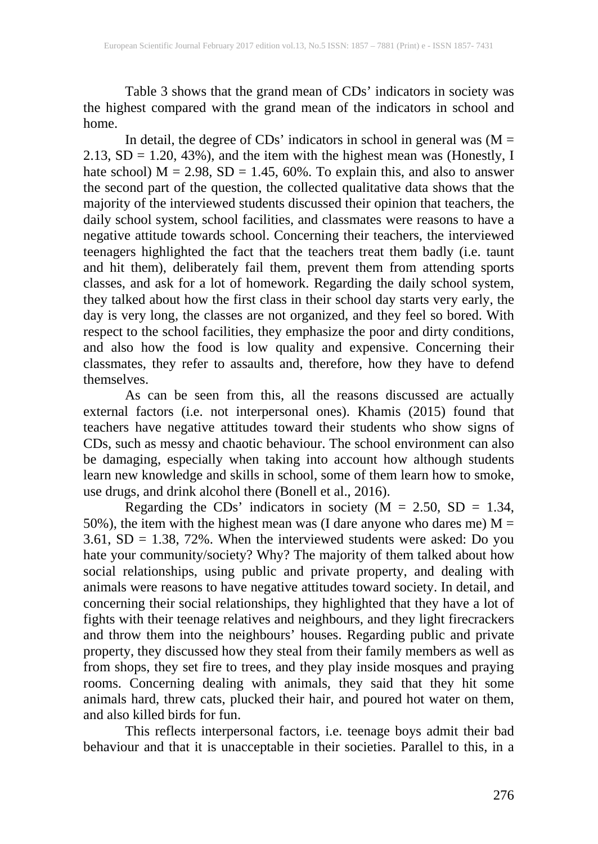Table 3 shows that the grand mean of CDs' indicators in society was the highest compared with the grand mean of the indicators in school and home.

In detail, the degree of  $CDs'$  indicators in school in general was  $(M =$  $2.13$ ,  $SD = 1.20$ ,  $43\%$ ), and the item with the highest mean was (Honestly, I hate school)  $M = 2.98$ ,  $SD = 1.45$ , 60%. To explain this, and also to answer the second part of the question, the collected qualitative data shows that the majority of the interviewed students discussed their opinion that teachers, the daily school system, school facilities, and classmates were reasons to have a negative attitude towards school. Concerning their teachers, the interviewed teenagers highlighted the fact that the teachers treat them badly (i.e. taunt and hit them), deliberately fail them, prevent them from attending sports classes, and ask for a lot of homework. Regarding the daily school system, they talked about how the first class in their school day starts very early, the day is very long, the classes are not organized, and they feel so bored. With respect to the school facilities, they emphasize the poor and dirty conditions, and also how the food is low quality and expensive. Concerning their classmates, they refer to assaults and, therefore, how they have to defend themselves.

As can be seen from this, all the reasons discussed are actually external factors (i.e. not interpersonal ones). Khamis (2015) found that teachers have negative attitudes toward their students who show signs of CDs, such as messy and chaotic behaviour. The school environment can also be damaging, especially when taking into account how although students learn new knowledge and skills in school, some of them learn how to smoke, use drugs, and drink alcohol there (Bonell et al., 2016).

Regarding the CDs' indicators in society ( $M = 2.50$ , SD = 1.34, 50%), the item with the highest mean was (I dare anyone who dares me)  $M =$  $3.61$ ,  $SD = 1.38$ ,  $72\%$ . When the interviewed students were asked: Do you hate your community/society? Why? The majority of them talked about how social relationships, using public and private property, and dealing with animals were reasons to have negative attitudes toward society. In detail, and concerning their social relationships, they highlighted that they have a lot of fights with their teenage relatives and neighbours, and they light firecrackers and throw them into the neighbours' houses. Regarding public and private property, they discussed how they steal from their family members as well as from shops, they set fire to trees, and they play inside mosques and praying rooms. Concerning dealing with animals, they said that they hit some animals hard, threw cats, plucked their hair, and poured hot water on them, and also killed birds for fun.

This reflects interpersonal factors, i.e. teenage boys admit their bad behaviour and that it is unacceptable in their societies. Parallel to this, in a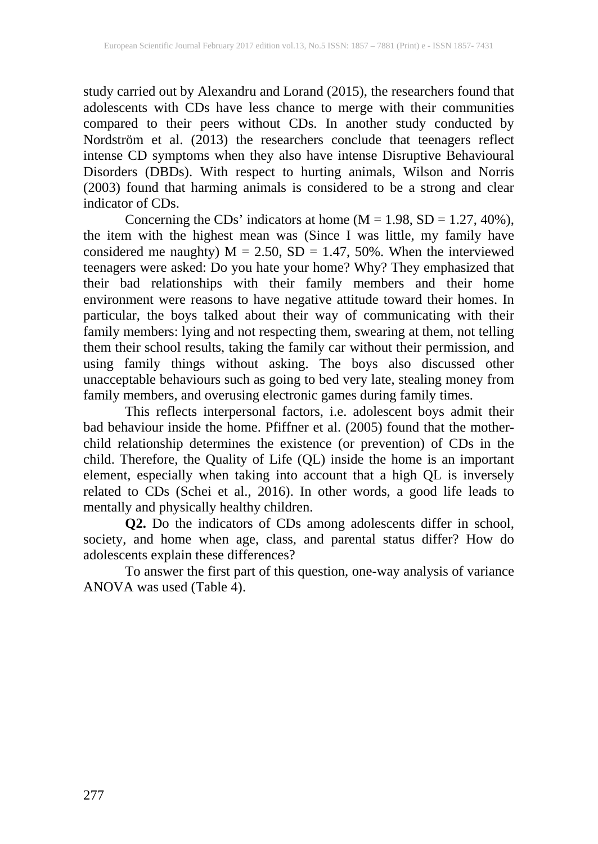study carried out by Alexandru and Lorand (2015), the researchers found that adolescents with CDs have less chance to merge with their communities compared to their peers without CDs. In another study conducted by Nordström et al. (2013) the researchers conclude that teenagers reflect intense CD symptoms when they also have intense Disruptive Behavioural Disorders (DBDs). With respect to hurting animals, Wilson and Norris (2003) found that harming animals is considered to be a strong and clear indicator of CDs.

Concerning the CDs' indicators at home ( $M = 1.98$ ,  $SD = 1.27$ , 40%), the item with the highest mean was (Since I was little, my family have considered me naughty)  $M = 2.50$ ,  $SD = 1.47$ , 50%. When the interviewed teenagers were asked: Do you hate your home? Why? They emphasized that their bad relationships with their family members and their home environment were reasons to have negative attitude toward their homes. In particular, the boys talked about their way of communicating with their family members: lying and not respecting them, swearing at them, not telling them their school results, taking the family car without their permission, and using family things without asking. The boys also discussed other unacceptable behaviours such as going to bed very late, stealing money from family members, and overusing electronic games during family times.

This reflects interpersonal factors, i.e. adolescent boys admit their bad behaviour inside the home. Pfiffner et al. (2005) found that the motherchild relationship determines the existence (or prevention) of CDs in the child. Therefore, the Quality of Life (QL) inside the home is an important element, especially when taking into account that a high QL is inversely related to CDs (Schei et al., 2016). In other words, a good life leads to mentally and physically healthy children.

**Q2.** Do the indicators of CDs among adolescents differ in school, society, and home when age, class, and parental status differ? How do adolescents explain these differences?

To answer the first part of this question, one-way analysis of variance ANOVA was used (Table 4).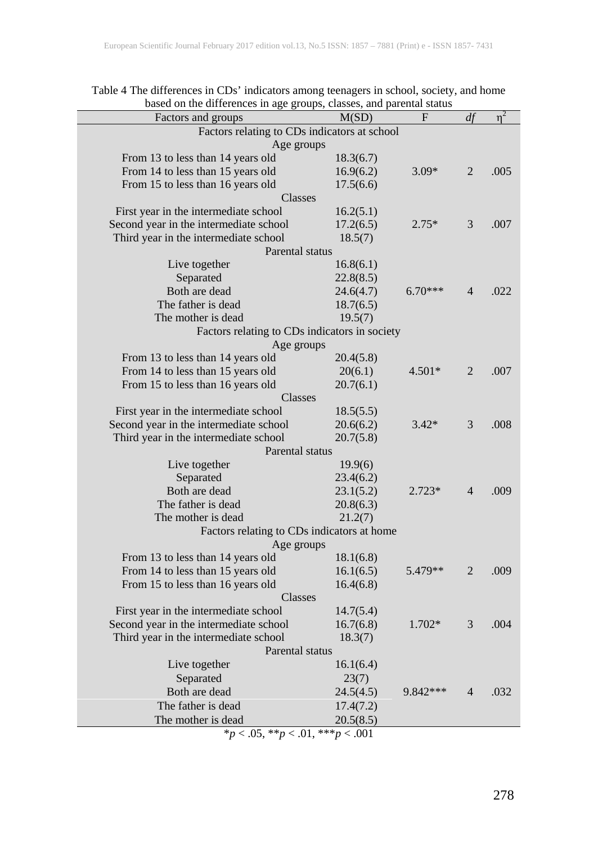| based on the unterences in age groups, classes, and parental status<br>Factors and groups | M(SD)     | F         | df             | $\eta^2$ |
|-------------------------------------------------------------------------------------------|-----------|-----------|----------------|----------|
| Factors relating to CDs indicators at school                                              |           |           |                |          |
| Age groups                                                                                |           |           |                |          |
|                                                                                           |           |           |                |          |
| From 13 to less than 14 years old                                                         | 18.3(6.7) |           |                |          |
| From 14 to less than 15 years old                                                         | 16.9(6.2) | $3.09*$   | $\overline{2}$ | .005     |
| From 15 to less than 16 years old                                                         | 17.5(6.6) |           |                |          |
| Classes                                                                                   |           |           |                |          |
| First year in the intermediate school                                                     | 16.2(5.1) |           |                |          |
| Second year in the intermediate school                                                    | 17.2(6.5) | $2.75*$   | 3              | .007     |
| Third year in the intermediate school                                                     | 18.5(7)   |           |                |          |
| Parental status                                                                           |           |           |                |          |
| Live together                                                                             | 16.8(6.1) |           |                |          |
| Separated                                                                                 | 22.8(8.5) |           |                |          |
| Both are dead                                                                             | 24.6(4.7) | $6.70***$ | 4              | .022     |
| The father is dead                                                                        | 18.7(6.5) |           |                |          |
| The mother is dead                                                                        | 19.5(7)   |           |                |          |
| Factors relating to CDs indicators in society                                             |           |           |                |          |
| Age groups                                                                                |           |           |                |          |
| From 13 to less than 14 years old                                                         | 20.4(5.8) |           |                |          |
| From 14 to less than 15 years old                                                         | 20(6.1)   | $4.501*$  | $\overline{2}$ | .007     |
|                                                                                           | 20.7(6.1) |           |                |          |
| From 15 to less than 16 years old                                                         |           |           |                |          |
| Classes                                                                                   |           |           |                |          |
| First year in the intermediate school                                                     | 18.5(5.5) |           |                |          |
| Second year in the intermediate school                                                    | 20.6(6.2) | $3.42*$   | 3              | .008     |
| Third year in the intermediate school                                                     | 20.7(5.8) |           |                |          |
| Parental status                                                                           |           |           |                |          |
| Live together                                                                             | 19.9(6)   |           |                |          |
| Separated                                                                                 | 23.4(6.2) |           |                |          |
| Both are dead                                                                             | 23.1(5.2) | $2.723*$  | 4              | .009     |
| The father is dead                                                                        | 20.8(6.3) |           |                |          |
| The mother is dead                                                                        | 21.2(7)   |           |                |          |
| Factors relating to CDs indicators at home                                                |           |           |                |          |
| Age groups                                                                                |           |           |                |          |
| From 13 to less than 14 years old                                                         | 18.1(6.8) |           |                |          |
| From 14 to less than 15 years old                                                         | 16.1(6.5) | 5.479**   | 2              | .009     |
| From 15 to less than 16 years old                                                         | 16.4(6.8) |           |                |          |
| Classes                                                                                   |           |           |                |          |
|                                                                                           |           |           |                |          |
| First year in the intermediate school                                                     | 14.7(5.4) |           |                |          |
| Second year in the intermediate school                                                    | 16.7(6.8) | 1.702*    | 3              | .004     |
| Third year in the intermediate school                                                     | 18.3(7)   |           |                |          |
| Parental status                                                                           |           |           |                |          |
| Live together                                                                             | 16.1(6.4) |           |                |          |
| Separated                                                                                 | 23(7)     |           |                |          |
| Both are dead                                                                             | 24.5(4.5) | 9.842 *** | 4              | .032     |
| The father is dead                                                                        | 17.4(7.2) |           |                |          |
| The mother is dead                                                                        | 20.5(8.5) |           |                |          |
| *p < .05, **p < .01, ***p < .001                                                          |           |           |                |          |

Table 4 The differences in CDs' indicators among teenagers in school, society, and home based on the differences in age groups, classes, and parental status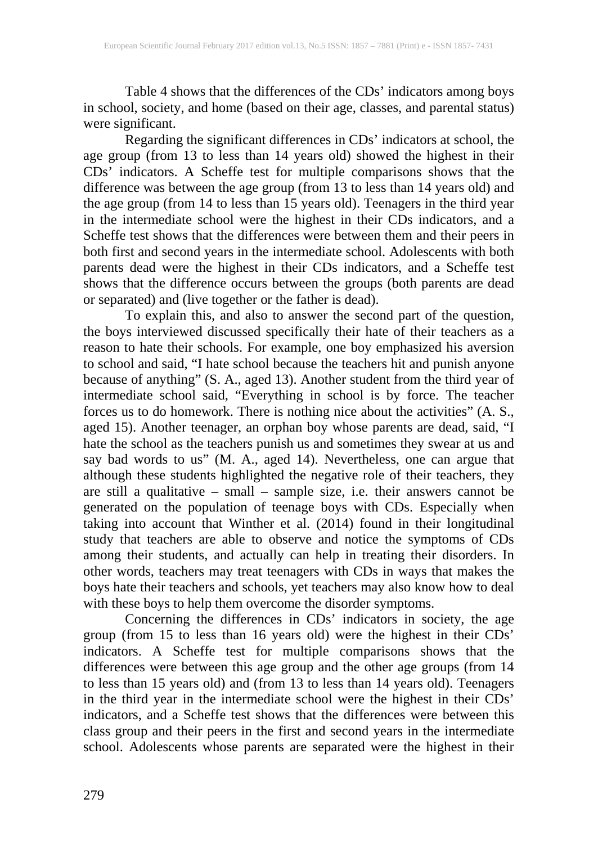Table 4 shows that the differences of the CDs' indicators among boys in school, society, and home (based on their age, classes, and parental status) were significant.

Regarding the significant differences in CDs' indicators at school, the age group (from 13 to less than 14 years old) showed the highest in their CDs' indicators. A Scheffe test for multiple comparisons shows that the difference was between the age group (from 13 to less than 14 years old) and the age group (from 14 to less than 15 years old). Teenagers in the third year in the intermediate school were the highest in their CDs indicators, and a Scheffe test shows that the differences were between them and their peers in both first and second years in the intermediate school. Adolescents with both parents dead were the highest in their CDs indicators, and a Scheffe test shows that the difference occurs between the groups (both parents are dead or separated) and (live together or the father is dead). or separated) and (live together or the father is dead).

To explain this, and also to answer the second part of the question, the boys interviewed discussed specifically their hate of their teachers as a reason to hate their schools. For example, one boy emphasized his aversion to school and said, "I hate school because the teachers hit and punish anyone because of anything" (S. A., aged 13). Another student from the third year of intermediate school said, "Everything in school is by force. The teacher forces us to do homework. There is nothing nice about the activities" (A. S., aged 15). Another teenager, an orphan boy whose parents are dead, said, "I hate the school as the teachers punish us and sometimes they swear at us and say bad words to us" (M. A., aged 14). Nevertheless, one can argue that although these students highlighted the negative role of their teachers, they are still a qualitative – small – sample size, i.e. their answers cannot be generated on the population of teenage boys with CDs. Especially when taking into account that Winther et al. (2014) found in their longitudinal study that teachers are able to observe and notice the symptoms of CDs among their students, and actually can help in treating their disorders. In other words, teachers may treat teenagers with CDs in ways that makes the boys hate their teachers and schools, yet teachers may also know how to deal with these boys to help them overcome the disorder symptoms.

Concerning the differences in CDs' indicators in society, the age group (from 15 to less than 16 years old) were the highest in their CDs' indicators. A Scheffe test for multiple comparisons shows that the differences were between this age group and the other age groups (from 14 to less than 15 years old) and (from 13 to less than 14 years old). Teenagers in the third year in the intermediate school were the highest in their CDs' indicators, and a Scheffe test shows that the differences were between this class group and their peers in the first and second years in the intermediate school. Adolescents whose parents are separated were the highest in their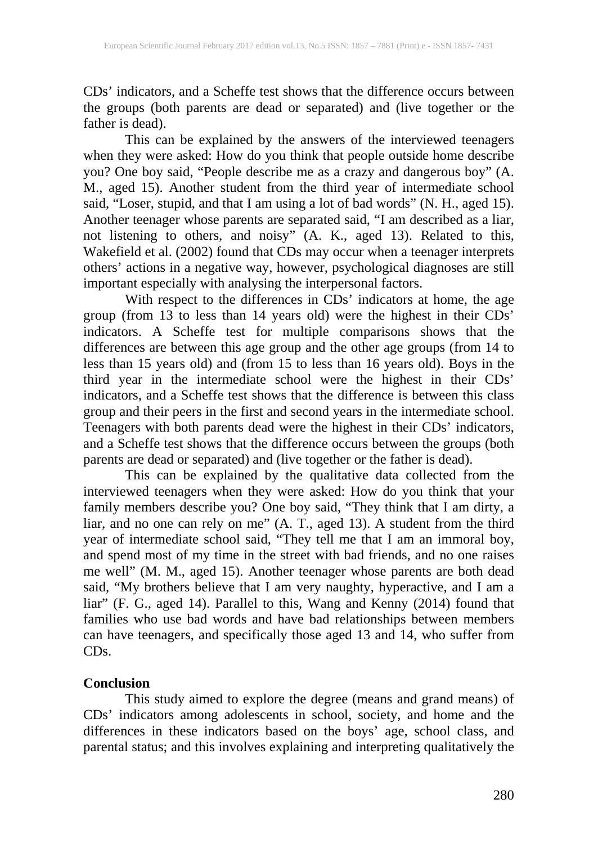CDs' indicators, and a Scheffe test shows that the difference occurs between the groups (both parents are dead or separated) and (live together or the father is dead).

This can be explained by the answers of the interviewed teenagers when they were asked: How do you think that people outside home describe you? One boy said, "People describe me as a crazy and dangerous boy" (A. M., aged 15). Another student from the third year of intermediate school said, "Loser, stupid, and that I am using a lot of bad words" (N. H., aged 15). Another teenager whose parents are separated said, "I am described as a liar, not listening to others, and noisy" (A. K., aged 13). Related to this, Wakefield et al. (2002) found that CDs may occur when a teenager interprets others' actions in a negative way, however, psychological diagnoses are still important especially with analysing the interpersonal factors.

With respect to the differences in CDs' indicators at home, the age group (from 13 to less than 14 years old) were the highest in their CDs' indicators. A Scheffe test for multiple comparisons shows that the differences are between this age group and the other age groups (from 14 to less than 15 years old) and (from 15 to less than 16 years old). Boys in the third year in the intermediate school were the highest in their CDs' indicators, and a Scheffe test shows that the difference is between this class group and their peers in the first and second years in the intermediate school. Teenagers with both parents dead were the highest in their CDs' indicators, and a Scheffe test shows that the difference occurs between the groups (both parents are dead or separated) and (live together or the father is dead).

This can be explained by the qualitative data collected from the interviewed teenagers when they were asked: How do you think that your family members describe you? One boy said, "They think that I am dirty, a liar, and no one can rely on me" (A. T., aged 13). A student from the third year of intermediate school said, "They tell me that I am an immoral boy, and spend most of my time in the street with bad friends, and no one raises me well" (M. M., aged 15). Another teenager whose parents are both dead said, "My brothers believe that I am very naughty, hyperactive, and I am a liar" (F. G., aged 14). Parallel to this, Wang and Kenny (2014) found that families who use bad words and have bad relationships between members can have teenagers, and specifically those aged 13 and 14, who suffer from CDs.

## **Conclusion**

This study aimed to explore the degree (means and grand means) of CDs' indicators among adolescents in school, society, and home and the differences in these indicators based on the boys' age, school class, and parental status; and this involves explaining and interpreting qualitatively the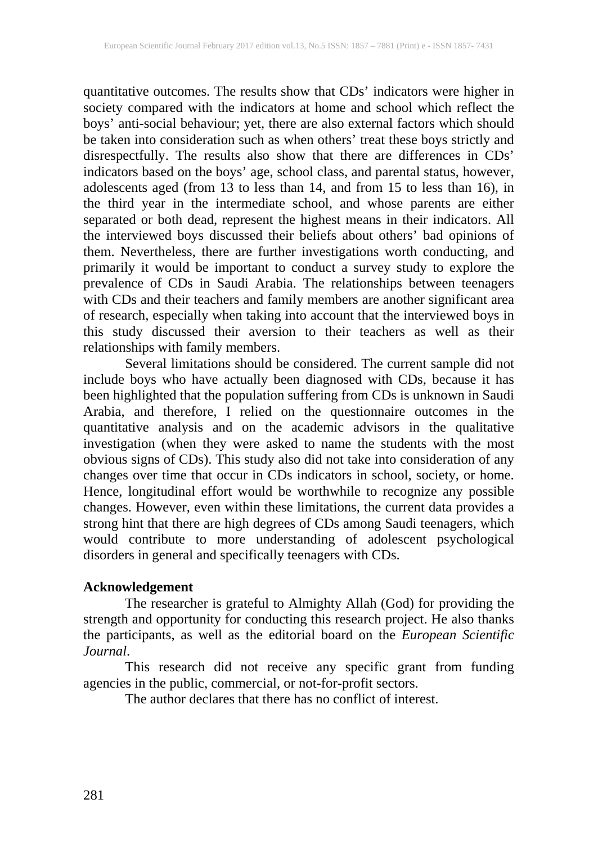quantitative outcomes. The results show that CDs' indicators were higher in society compared with the indicators at home and school which reflect the boys' anti-social behaviour; yet, there are also external factors which should be taken into consideration such as when others' treat these boys strictly and disrespectfully. The results also show that there are differences in CDs' indicators based on the boys' age, school class, and parental status, however, adolescents aged (from 13 to less than 14, and from 15 to less than 16), in the third year in the intermediate school, and whose parents are either separated or both dead, represent the highest means in their indicators. All the interviewed boys discussed their beliefs about others' bad opinions of them. Nevertheless, there are further investigations worth conducting, and primarily it would be important to conduct a survey study to explore the prevalence of CDs in Saudi Arabia. The relationships between teenagers with CDs and their teachers and family members are another significant area of research, especially when taking into account that the interviewed boys in this study discussed their aversion to their teachers as well as their relationships with family members.

Several limitations should be considered. The current sample did not include boys who have actually been diagnosed with CDs, because it has been highlighted that the population suffering from CDs is unknown in Saudi Arabia, and therefore, I relied on the questionnaire outcomes in the quantitative analysis and on the academic advisors in the qualitative investigation (when they were asked to name the students with the most obvious signs of CDs). This study also did not take into consideration of any changes over time that occur in CDs indicators in school, society, or home. Hence, longitudinal effort would be worthwhile to recognize any possible changes. However, even within these limitations, the current data provides a strong hint that there are high degrees of CDs among Saudi teenagers, which would contribute to more understanding of adolescent psychological disorders in general and specifically teenagers with CDs.

#### **Acknowledgement**

The researcher is grateful to Almighty Allah (God) for providing the strength and opportunity for conducting this research project. He also thanks the participants, as well as the editorial board on the *European Scientific Journal*.

This research did not receive any specific grant from funding agencies in the public, commercial, or not-for-profit sectors.

The author declares that there has no conflict of interest.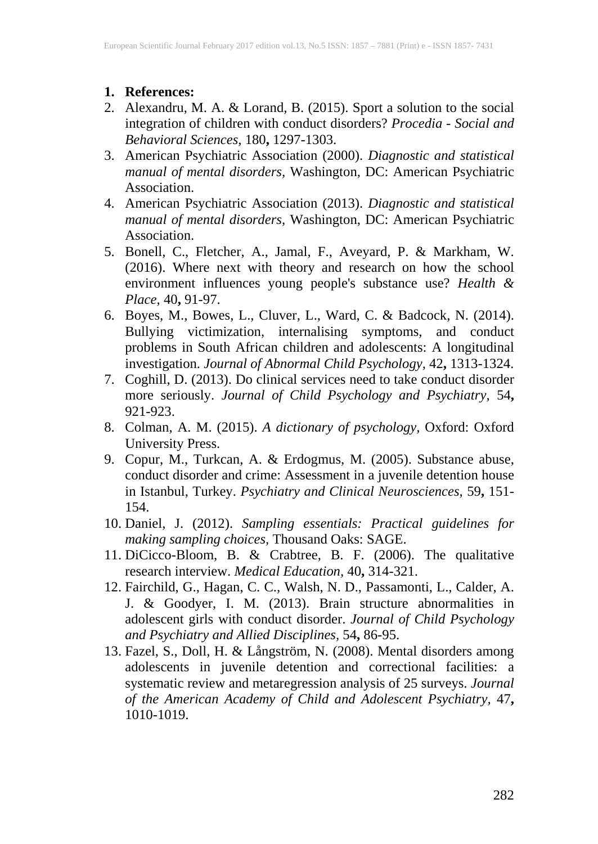- **1. References:**
- 2. Alexandru, M. A. & Lorand, B. (2015). Sport a solution to the social integration of children with conduct disorders? *Procedia - Social and Behavioral Sciences,* 180**,** 1297-1303.
- 3. American Psychiatric Association (2000). *Diagnostic and statistical manual of mental disorders,* Washington, DC: American Psychiatric Association.
- 4. American Psychiatric Association (2013). *Diagnostic and statistical manual of mental disorders,* Washington, DC: American Psychiatric Association.
- 5. Bonell, C., Fletcher, A., Jamal, F., Aveyard, P. & Markham, W. (2016). Where next with theory and research on how the school environment influences young people's substance use? *Health & Place,* 40**,** 91-97.
- 6. Boyes, M., Bowes, L., Cluver, L., Ward, C. & Badcock, N. (2014). Bullying victimization, internalising symptoms, and conduct problems in South African children and adolescents: A longitudinal investigation. *Journal of Abnormal Child Psychology,* 42**,** 1313-1324.
- 7. Coghill, D. (2013). Do clinical services need to take conduct disorder more seriously. *Journal of Child Psychology and Psychiatry,* 54**,** 921-923.
- 8. Colman, A. M. (2015). *A dictionary of psychology,* Oxford: Oxford University Press.
- 9. Copur, M., Turkcan, A. & Erdogmus, M. (2005). Substance abuse, conduct disorder and crime: Assessment in a juvenile detention house in Istanbul, Turkey. *Psychiatry and Clinical Neurosciences,* 59**,** 151- 154.
- 10. Daniel, J. (2012). *Sampling essentials: Practical guidelines for making sampling choices,* Thousand Oaks: SAGE.
- 11. DiCicco-Bloom, B. & Crabtree, B. F. (2006). The qualitative research interview. *Medical Education,* 40**,** 314-321.
- 12. Fairchild, G., Hagan, C. C., Walsh, N. D., Passamonti, L., Calder, A. J. & Goodyer, I. M. (2013). Brain structure abnormalities in adolescent girls with conduct disorder. *Journal of Child Psychology and Psychiatry and Allied Disciplines,* 54**,** 86-95.
- 13. Fazel, S., Doll, H. & Långström, N. (2008). Mental disorders among adolescents in juvenile detention and correctional facilities: a systematic review and metaregression analysis of 25 surveys. *Journal of the American Academy of Child and Adolescent Psychiatry,* 47**,** 1010-1019.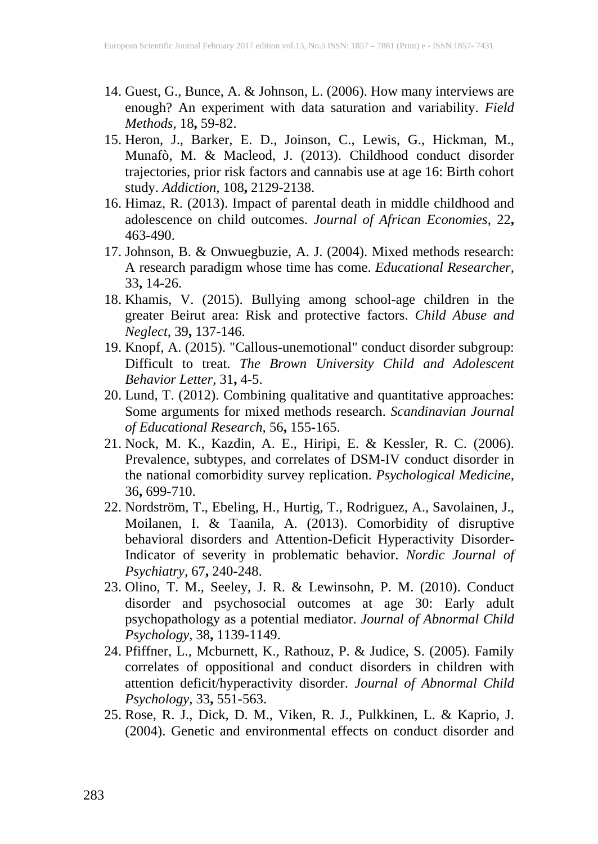- 14. Guest, G., Bunce, A. & Johnson, L. (2006). How many interviews are enough? An experiment with data saturation and variability. *Field Methods,* 18**,** 59-82.
- 15. Heron, J., Barker, E. D., Joinson, C., Lewis, G., Hickman, M., Munafò, M. & Macleod, J. (2013). Childhood conduct disorder trajectories, prior risk factors and cannabis use at age 16: Birth cohort study. *Addiction,* 108**,** 2129-2138.
- 16. Himaz, R. (2013). Impact of parental death in middle childhood and adolescence on child outcomes. *Journal of African Economies,* 22**,** 463-490.
- 17. Johnson, B. & Onwuegbuzie, A. J. (2004). Mixed methods research: A research paradigm whose time has come. *Educational Researcher,* 33**,** 14-26.
- 18. Khamis, V. (2015). Bullying among school-age children in the greater Beirut area: Risk and protective factors. *Child Abuse and Neglect,* 39**,** 137-146.
- 19. Knopf, A. (2015). "Callous-unemotional" conduct disorder subgroup: Difficult to treat. *The Brown University Child and Adolescent Behavior Letter,* 31**,** 4-5.
- 20. Lund, T. (2012). Combining qualitative and quantitative approaches: Some arguments for mixed methods research. *Scandinavian Journal of Educational Research,* 56**,** 155-165.
- 21. Nock, M. K., Kazdin, A. E., Hiripi, E. & Kessler, R. C. (2006). Prevalence, subtypes, and correlates of DSM-IV conduct disorder in the national comorbidity survey replication. *Psychological Medicine,* 36**,** 699-710.
- 22. Nordström, T., Ebeling, H., Hurtig, T., Rodriguez, A., Savolainen, J., Moilanen, I. & Taanila, A. (2013). Comorbidity of disruptive behavioral disorders and Attention-Deficit Hyperactivity Disorder-Indicator of severity in problematic behavior. *Nordic Journal of Psychiatry,* 67**,** 240-248.
- 23. Olino, T. M., Seeley, J. R. & Lewinsohn, P. M. (2010). Conduct disorder and psychosocial outcomes at age 30: Early adult psychopathology as a potential mediator. *Journal of Abnormal Child Psychology,* 38**,** 1139-1149.
- 24. Pfiffner, L., Mcburnett, K., Rathouz, P. & Judice, S. (2005). Family correlates of oppositional and conduct disorders in children with attention deficit/hyperactivity disorder. *Journal of Abnormal Child Psychology,* 33**,** 551-563.
- 25. Rose, R. J., Dick, D. M., Viken, R. J., Pulkkinen, L. & Kaprio, J. (2004). Genetic and environmental effects on conduct disorder and